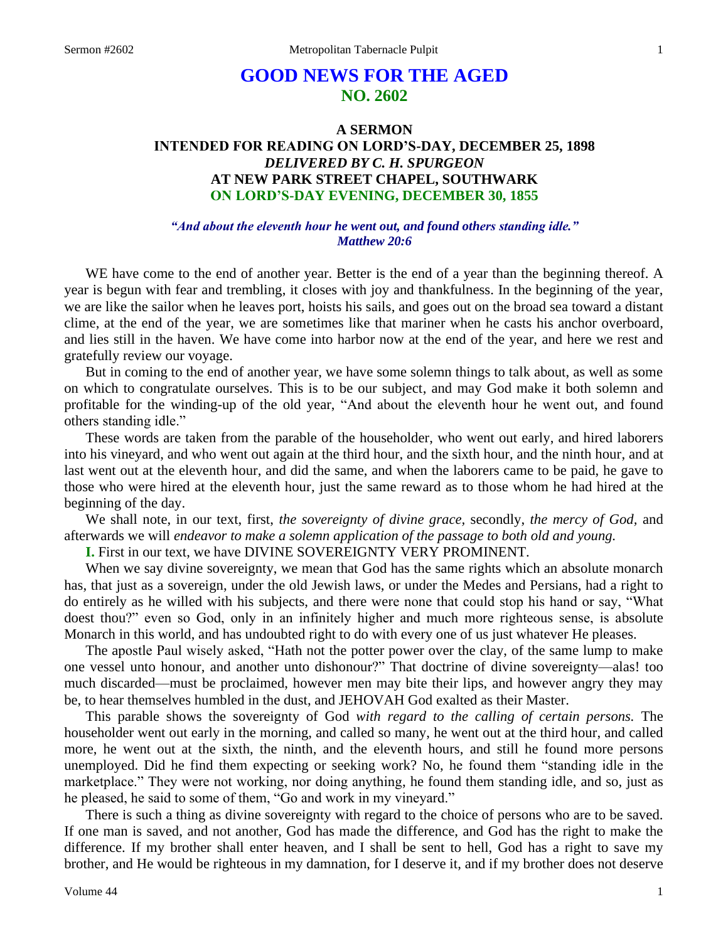# **GOOD NEWS FOR THE AGED NO. 2602**

## **A SERMON INTENDED FOR READING ON LORD'S-DAY, DECEMBER 25, 1898** *DELIVERED BY C. H. SPURGEON* **AT NEW PARK STREET CHAPEL, SOUTHWARK ON LORD'S-DAY EVENING, DECEMBER 30, 1855**

### *"And about the eleventh hour he went out, and found others standing idle." Matthew 20:6*

WE have come to the end of another year. Better is the end of a year than the beginning thereof. A year is begun with fear and trembling, it closes with joy and thankfulness. In the beginning of the year, we are like the sailor when he leaves port, hoists his sails, and goes out on the broad sea toward a distant clime, at the end of the year, we are sometimes like that mariner when he casts his anchor overboard, and lies still in the haven. We have come into harbor now at the end of the year, and here we rest and gratefully review our voyage.

But in coming to the end of another year, we have some solemn things to talk about, as well as some on which to congratulate ourselves. This is to be our subject, and may God make it both solemn and profitable for the winding-up of the old year, "And about the eleventh hour he went out, and found others standing idle."

These words are taken from the parable of the householder, who went out early, and hired laborers into his vineyard, and who went out again at the third hour, and the sixth hour, and the ninth hour, and at last went out at the eleventh hour, and did the same, and when the laborers came to be paid, he gave to those who were hired at the eleventh hour, just the same reward as to those whom he had hired at the beginning of the day.

We shall note, in our text, first, *the sovereignty of divine grace,* secondly, *the mercy of God,* and afterwards we will *endeavor to make a solemn application of the passage to both old and young.*

**I.** First in our text, we have DIVINE SOVEREIGNTY VERY PROMINENT.

When we say divine sovereignty, we mean that God has the same rights which an absolute monarch has, that just as a sovereign, under the old Jewish laws, or under the Medes and Persians, had a right to do entirely as he willed with his subjects, and there were none that could stop his hand or say, "What doest thou?" even so God, only in an infinitely higher and much more righteous sense, is absolute Monarch in this world, and has undoubted right to do with every one of us just whatever He pleases.

The apostle Paul wisely asked, "Hath not the potter power over the clay, of the same lump to make one vessel unto honour, and another unto dishonour?" That doctrine of divine sovereignty—alas! too much discarded—must be proclaimed, however men may bite their lips, and however angry they may be, to hear themselves humbled in the dust, and JEHOVAH God exalted as their Master.

This parable shows the sovereignty of God *with regard to the calling of certain persons.* The householder went out early in the morning, and called so many, he went out at the third hour, and called more, he went out at the sixth, the ninth, and the eleventh hours, and still he found more persons unemployed. Did he find them expecting or seeking work? No, he found them "standing idle in the marketplace." They were not working, nor doing anything, he found them standing idle, and so, just as he pleased, he said to some of them, "Go and work in my vineyard."

There is such a thing as divine sovereignty with regard to the choice of persons who are to be saved. If one man is saved, and not another, God has made the difference, and God has the right to make the difference. If my brother shall enter heaven, and I shall be sent to hell, God has a right to save my brother, and He would be righteous in my damnation, for I deserve it, and if my brother does not deserve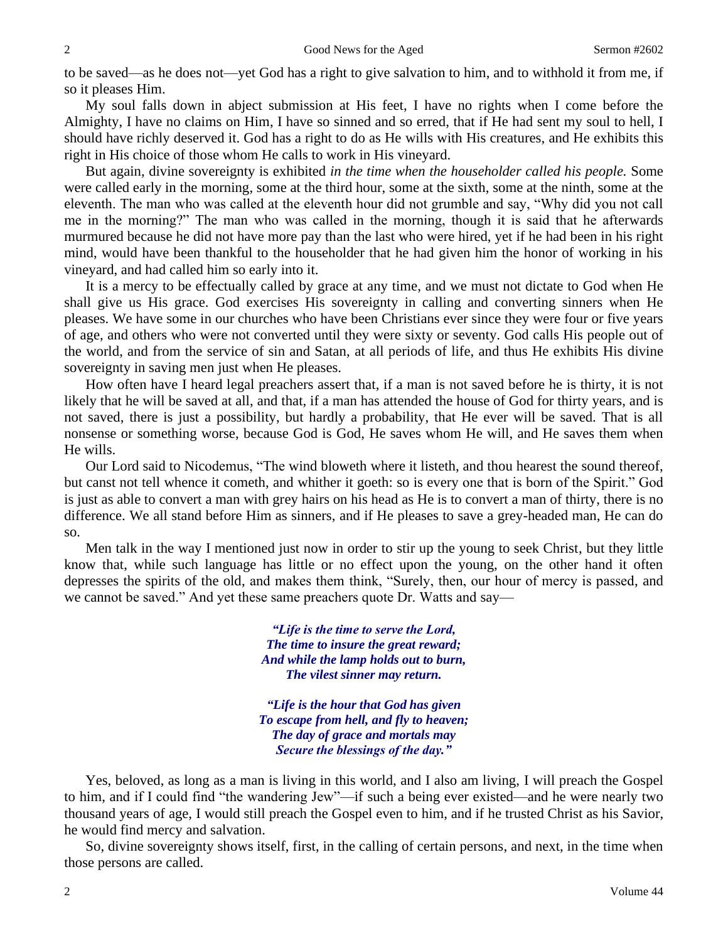to be saved—as he does not—yet God has a right to give salvation to him, and to withhold it from me, if so it pleases Him.

My soul falls down in abject submission at His feet, I have no rights when I come before the Almighty, I have no claims on Him, I have so sinned and so erred, that if He had sent my soul to hell, I should have richly deserved it. God has a right to do as He wills with His creatures, and He exhibits this right in His choice of those whom He calls to work in His vineyard.

But again, divine sovereignty is exhibited *in the time when the householder called his people.* Some were called early in the morning, some at the third hour, some at the sixth, some at the ninth, some at the eleventh. The man who was called at the eleventh hour did not grumble and say, "Why did you not call me in the morning?" The man who was called in the morning, though it is said that he afterwards murmured because he did not have more pay than the last who were hired, yet if he had been in his right mind, would have been thankful to the householder that he had given him the honor of working in his vineyard, and had called him so early into it.

It is a mercy to be effectually called by grace at any time, and we must not dictate to God when He shall give us His grace. God exercises His sovereignty in calling and converting sinners when He pleases. We have some in our churches who have been Christians ever since they were four or five years of age, and others who were not converted until they were sixty or seventy. God calls His people out of the world, and from the service of sin and Satan, at all periods of life, and thus He exhibits His divine sovereignty in saving men just when He pleases.

How often have I heard legal preachers assert that, if a man is not saved before he is thirty, it is not likely that he will be saved at all, and that, if a man has attended the house of God for thirty years, and is not saved, there is just a possibility, but hardly a probability, that He ever will be saved. That is all nonsense or something worse, because God is God, He saves whom He will, and He saves them when He wills.

Our Lord said to Nicodemus, "The wind bloweth where it listeth, and thou hearest the sound thereof, but canst not tell whence it cometh, and whither it goeth: so is every one that is born of the Spirit." God is just as able to convert a man with grey hairs on his head as He is to convert a man of thirty, there is no difference. We all stand before Him as sinners, and if He pleases to save a grey-headed man, He can do so.

Men talk in the way I mentioned just now in order to stir up the young to seek Christ, but they little know that, while such language has little or no effect upon the young, on the other hand it often depresses the spirits of the old, and makes them think, "Surely, then, our hour of mercy is passed, and we cannot be saved." And yet these same preachers quote Dr. Watts and say—

> *"Life is the time to serve the Lord, The time to insure the great reward; And while the lamp holds out to burn, The vilest sinner may return.*

*"Life is the hour that God has given To escape from hell, and fly to heaven; The day of grace and mortals may Secure the blessings of the day."*

Yes, beloved, as long as a man is living in this world, and I also am living, I will preach the Gospel to him, and if I could find "the wandering Jew"—if such a being ever existed—and he were nearly two thousand years of age, I would still preach the Gospel even to him, and if he trusted Christ as his Savior, he would find mercy and salvation.

So, divine sovereignty shows itself, first, in the calling of certain persons, and next, in the time when those persons are called.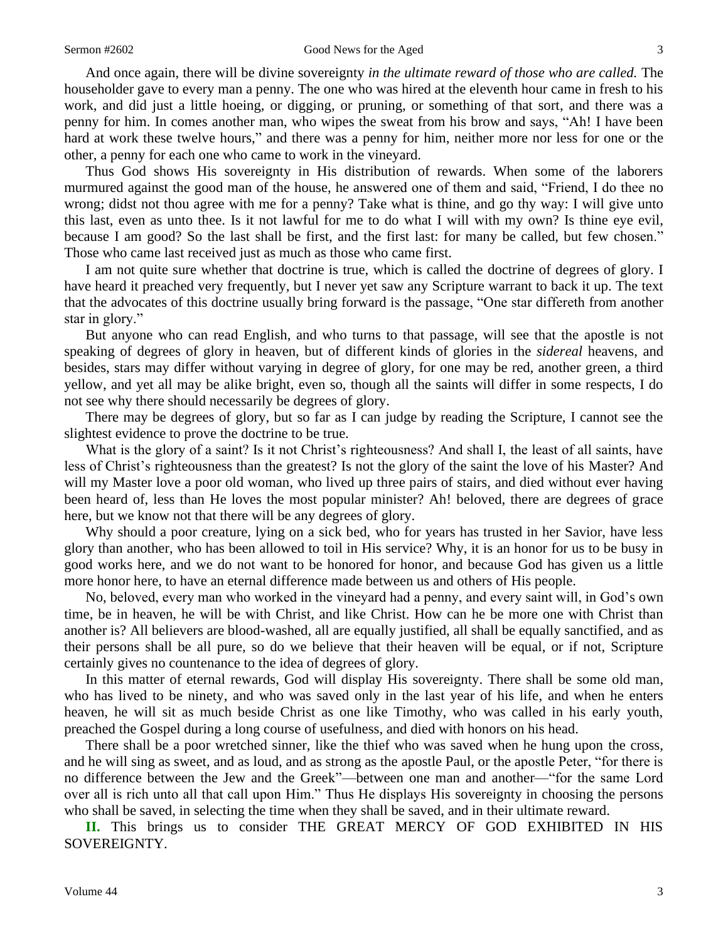#### Sermon #2602 Good News for the Aged 3

And once again, there will be divine sovereignty *in the ultimate reward of those who are called.* The householder gave to every man a penny. The one who was hired at the eleventh hour came in fresh to his work, and did just a little hoeing, or digging, or pruning, or something of that sort, and there was a penny for him. In comes another man, who wipes the sweat from his brow and says, "Ah! I have been hard at work these twelve hours," and there was a penny for him, neither more nor less for one or the other, a penny for each one who came to work in the vineyard.

Thus God shows His sovereignty in His distribution of rewards. When some of the laborers murmured against the good man of the house, he answered one of them and said, "Friend, I do thee no wrong; didst not thou agree with me for a penny? Take what is thine, and go thy way: I will give unto this last, even as unto thee. Is it not lawful for me to do what I will with my own? Is thine eye evil, because I am good? So the last shall be first, and the first last: for many be called, but few chosen." Those who came last received just as much as those who came first.

I am not quite sure whether that doctrine is true, which is called the doctrine of degrees of glory. I have heard it preached very frequently, but I never yet saw any Scripture warrant to back it up. The text that the advocates of this doctrine usually bring forward is the passage, "One star differeth from another star in glory."

But anyone who can read English, and who turns to that passage, will see that the apostle is not speaking of degrees of glory in heaven, but of different kinds of glories in the *sidereal* heavens, and besides, stars may differ without varying in degree of glory, for one may be red, another green, a third yellow, and yet all may be alike bright, even so, though all the saints will differ in some respects, I do not see why there should necessarily be degrees of glory.

There may be degrees of glory, but so far as I can judge by reading the Scripture, I cannot see the slightest evidence to prove the doctrine to be true.

What is the glory of a saint? Is it not Christ's righteousness? And shall I, the least of all saints, have less of Christ's righteousness than the greatest? Is not the glory of the saint the love of his Master? And will my Master love a poor old woman, who lived up three pairs of stairs, and died without ever having been heard of, less than He loves the most popular minister? Ah! beloved, there are degrees of grace here, but we know not that there will be any degrees of glory.

Why should a poor creature, lying on a sick bed, who for years has trusted in her Savior, have less glory than another, who has been allowed to toil in His service? Why, it is an honor for us to be busy in good works here, and we do not want to be honored for honor, and because God has given us a little more honor here, to have an eternal difference made between us and others of His people.

No, beloved, every man who worked in the vineyard had a penny, and every saint will, in God's own time, be in heaven, he will be with Christ, and like Christ. How can he be more one with Christ than another is? All believers are blood-washed, all are equally justified, all shall be equally sanctified, and as their persons shall be all pure, so do we believe that their heaven will be equal, or if not, Scripture certainly gives no countenance to the idea of degrees of glory.

In this matter of eternal rewards, God will display His sovereignty. There shall be some old man, who has lived to be ninety, and who was saved only in the last year of his life, and when he enters heaven, he will sit as much beside Christ as one like Timothy, who was called in his early youth, preached the Gospel during a long course of usefulness, and died with honors on his head.

There shall be a poor wretched sinner, like the thief who was saved when he hung upon the cross, and he will sing as sweet, and as loud, and as strong as the apostle Paul, or the apostle Peter, "for there is no difference between the Jew and the Greek"—between one man and another—"for the same Lord over all is rich unto all that call upon Him." Thus He displays His sovereignty in choosing the persons who shall be saved, in selecting the time when they shall be saved, and in their ultimate reward.

**II.** This brings us to consider THE GREAT MERCY OF GOD EXHIBITED IN HIS SOVEREIGNTY.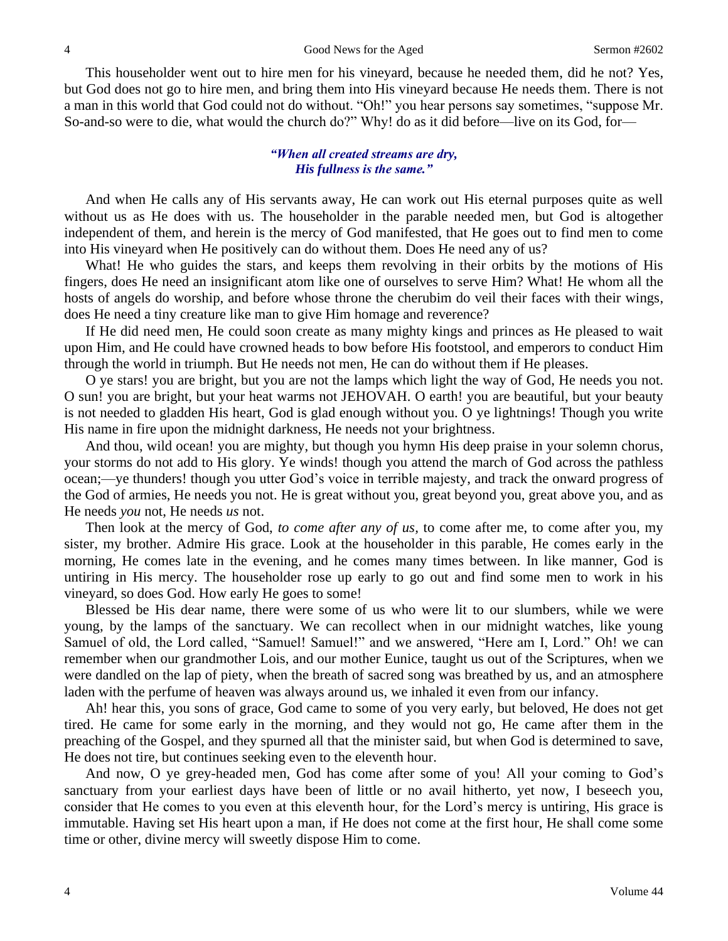This householder went out to hire men for his vineyard, because he needed them, did he not? Yes, but God does not go to hire men, and bring them into His vineyard because He needs them. There is not a man in this world that God could not do without. "Oh!" you hear persons say sometimes, "suppose Mr. So-and-so were to die, what would the church do?" Why! do as it did before—live on its God, for—

### *"When all created streams are dry, His fullness is the same."*

And when He calls any of His servants away, He can work out His eternal purposes quite as well without us as He does with us. The householder in the parable needed men, but God is altogether independent of them, and herein is the mercy of God manifested, that He goes out to find men to come into His vineyard when He positively can do without them. Does He need any of us?

What! He who guides the stars, and keeps them revolving in their orbits by the motions of His fingers, does He need an insignificant atom like one of ourselves to serve Him? What! He whom all the hosts of angels do worship, and before whose throne the cherubim do veil their faces with their wings, does He need a tiny creature like man to give Him homage and reverence?

If He did need men, He could soon create as many mighty kings and princes as He pleased to wait upon Him, and He could have crowned heads to bow before His footstool, and emperors to conduct Him through the world in triumph. But He needs not men, He can do without them if He pleases.

O ye stars! you are bright, but you are not the lamps which light the way of God, He needs you not. O sun! you are bright, but your heat warms not JEHOVAH. O earth! you are beautiful, but your beauty is not needed to gladden His heart, God is glad enough without you. O ye lightnings! Though you write His name in fire upon the midnight darkness, He needs not your brightness.

And thou, wild ocean! you are mighty, but though you hymn His deep praise in your solemn chorus, your storms do not add to His glory. Ye winds! though you attend the march of God across the pathless ocean;—ye thunders! though you utter God's voice in terrible majesty, and track the onward progress of the God of armies, He needs you not. He is great without you, great beyond you, great above you, and as He needs *you* not, He needs *us* not.

Then look at the mercy of God, *to come after any of us,* to come after me, to come after you, my sister, my brother. Admire His grace. Look at the householder in this parable, He comes early in the morning, He comes late in the evening, and he comes many times between. In like manner, God is untiring in His mercy. The householder rose up early to go out and find some men to work in his vineyard, so does God. How early He goes to some!

Blessed be His dear name, there were some of us who were lit to our slumbers, while we were young, by the lamps of the sanctuary. We can recollect when in our midnight watches, like young Samuel of old, the Lord called, "Samuel! Samuel!" and we answered, "Here am I, Lord." Oh! we can remember when our grandmother Lois, and our mother Eunice, taught us out of the Scriptures, when we were dandled on the lap of piety, when the breath of sacred song was breathed by us, and an atmosphere laden with the perfume of heaven was always around us, we inhaled it even from our infancy.

Ah! hear this, you sons of grace, God came to some of you very early, but beloved, He does not get tired. He came for some early in the morning, and they would not go, He came after them in the preaching of the Gospel, and they spurned all that the minister said, but when God is determined to save, He does not tire, but continues seeking even to the eleventh hour.

And now, O ye grey-headed men, God has come after some of you! All your coming to God's sanctuary from your earliest days have been of little or no avail hitherto, yet now, I beseech you, consider that He comes to you even at this eleventh hour, for the Lord's mercy is untiring, His grace is immutable. Having set His heart upon a man, if He does not come at the first hour, He shall come some time or other, divine mercy will sweetly dispose Him to come.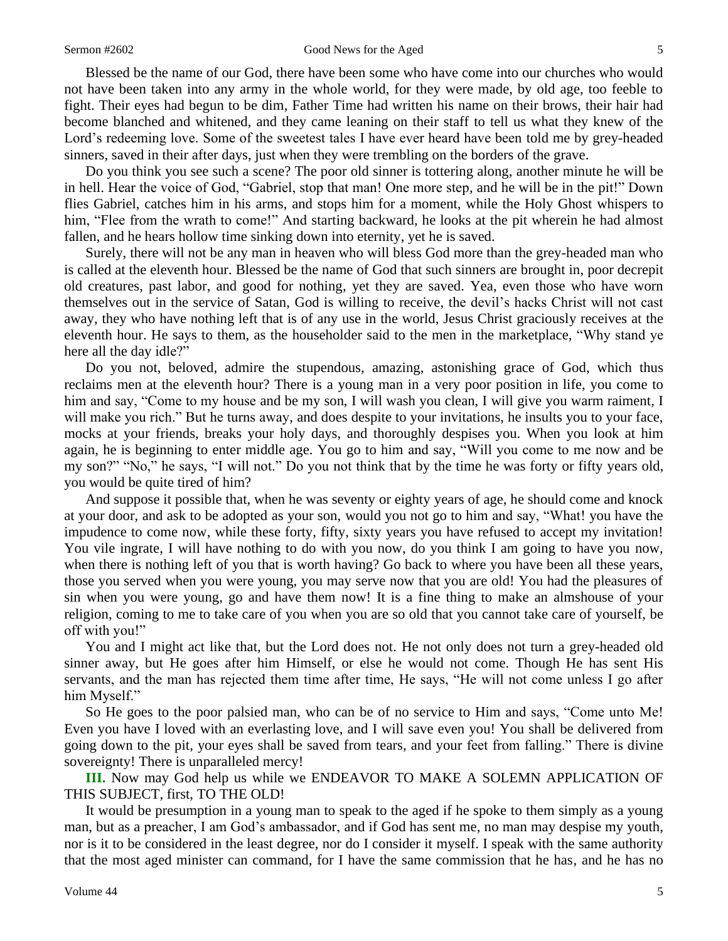#### Sermon #2602 Good News for the Aged 5

Blessed be the name of our God, there have been some who have come into our churches who would not have been taken into any army in the whole world, for they were made, by old age, too feeble to fight. Their eyes had begun to be dim, Father Time had written his name on their brows, their hair had become blanched and whitened, and they came leaning on their staff to tell us what they knew of the Lord's redeeming love. Some of the sweetest tales I have ever heard have been told me by grey-headed sinners, saved in their after days, just when they were trembling on the borders of the grave.

Do you think you see such a scene? The poor old sinner is tottering along, another minute he will be in hell. Hear the voice of God, "Gabriel, stop that man! One more step, and he will be in the pit!" Down flies Gabriel, catches him in his arms, and stops him for a moment, while the Holy Ghost whispers to him, "Flee from the wrath to come!" And starting backward, he looks at the pit wherein he had almost fallen, and he hears hollow time sinking down into eternity, yet he is saved.

Surely, there will not be any man in heaven who will bless God more than the grey-headed man who is called at the eleventh hour. Blessed be the name of God that such sinners are brought in, poor decrepit old creatures, past labor, and good for nothing, yet they are saved. Yea, even those who have worn themselves out in the service of Satan, God is willing to receive, the devil's hacks Christ will not cast away, they who have nothing left that is of any use in the world, Jesus Christ graciously receives at the eleventh hour. He says to them, as the householder said to the men in the marketplace, "Why stand ye here all the day idle?"

Do you not, beloved, admire the stupendous, amazing, astonishing grace of God, which thus reclaims men at the eleventh hour? There is a young man in a very poor position in life, you come to him and say, "Come to my house and be my son, I will wash you clean, I will give you warm raiment, I will make you rich." But he turns away, and does despite to your invitations, he insults you to your face, mocks at your friends, breaks your holy days, and thoroughly despises you. When you look at him again, he is beginning to enter middle age. You go to him and say, "Will you come to me now and be my son?" "No," he says, "I will not." Do you not think that by the time he was forty or fifty years old, you would be quite tired of him?

And suppose it possible that, when he was seventy or eighty years of age, he should come and knock at your door, and ask to be adopted as your son, would you not go to him and say, "What! you have the impudence to come now, while these forty, fifty, sixty years you have refused to accept my invitation! You vile ingrate, I will have nothing to do with you now, do you think I am going to have you now, when there is nothing left of you that is worth having? Go back to where you have been all these years, those you served when you were young, you may serve now that you are old! You had the pleasures of sin when you were young, go and have them now! It is a fine thing to make an almshouse of your religion, coming to me to take care of you when you are so old that you cannot take care of yourself, be off with you!"

You and I might act like that, but the Lord does not. He not only does not turn a grey-headed old sinner away, but He goes after him Himself, or else he would not come. Though He has sent His servants, and the man has rejected them time after time, He says, "He will not come unless I go after him Myself."

So He goes to the poor palsied man, who can be of no service to Him and says, "Come unto Me! Even you have I loved with an everlasting love, and I will save even you! You shall be delivered from going down to the pit, your eyes shall be saved from tears, and your feet from falling." There is divine sovereignty! There is unparalleled mercy!

**III.** Now may God help us while we ENDEAVOR TO MAKE A SOLEMN APPLICATION OF THIS SUBJECT, first, TO THE OLD!

It would be presumption in a young man to speak to the aged if he spoke to them simply as a young man, but as a preacher, I am God's ambassador, and if God has sent me, no man may despise my youth, nor is it to be considered in the least degree, nor do I consider it myself. I speak with the same authority that the most aged minister can command, for I have the same commission that he has, and he has no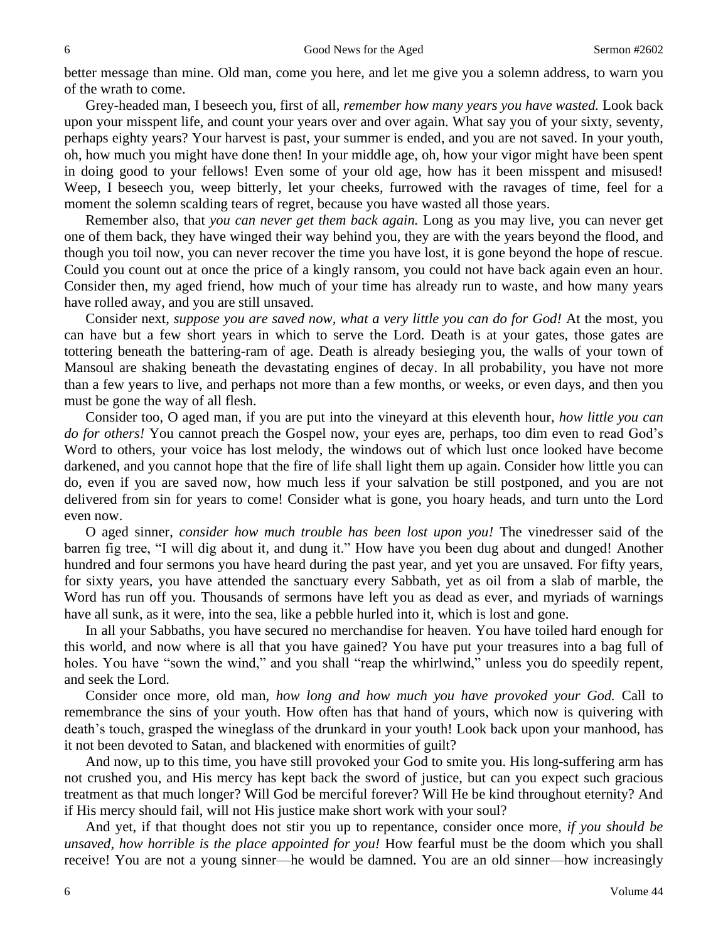better message than mine. Old man, come you here, and let me give you a solemn address, to warn you of the wrath to come.

Grey-headed man, I beseech you, first of all, *remember how many years you have wasted.* Look back upon your misspent life, and count your years over and over again. What say you of your sixty, seventy, perhaps eighty years? Your harvest is past, your summer is ended, and you are not saved. In your youth, oh, how much you might have done then! In your middle age, oh, how your vigor might have been spent in doing good to your fellows! Even some of your old age, how has it been misspent and misused! Weep, I beseech you, weep bitterly, let your cheeks, furrowed with the ravages of time, feel for a moment the solemn scalding tears of regret, because you have wasted all those years.

Remember also, that *you can never get them back again.* Long as you may live, you can never get one of them back, they have winged their way behind you, they are with the years beyond the flood, and though you toil now, you can never recover the time you have lost, it is gone beyond the hope of rescue. Could you count out at once the price of a kingly ransom, you could not have back again even an hour. Consider then, my aged friend, how much of your time has already run to waste, and how many years have rolled away, and you are still unsaved.

Consider next, *suppose you are saved now, what a very little you can do for God!* At the most, you can have but a few short years in which to serve the Lord. Death is at your gates, those gates are tottering beneath the battering-ram of age. Death is already besieging you, the walls of your town of Mansoul are shaking beneath the devastating engines of decay. In all probability, you have not more than a few years to live, and perhaps not more than a few months, or weeks, or even days, and then you must be gone the way of all flesh.

Consider too, O aged man, if you are put into the vineyard at this eleventh hour, *how little you can do for others!* You cannot preach the Gospel now, your eyes are, perhaps, too dim even to read God's Word to others, your voice has lost melody, the windows out of which lust once looked have become darkened, and you cannot hope that the fire of life shall light them up again. Consider how little you can do, even if you are saved now, how much less if your salvation be still postponed, and you are not delivered from sin for years to come! Consider what is gone, you hoary heads, and turn unto the Lord even now.

O aged sinner, *consider how much trouble has been lost upon you!* The vinedresser said of the barren fig tree, "I will dig about it, and dung it." How have you been dug about and dunged! Another hundred and four sermons you have heard during the past year, and yet you are unsaved. For fifty years, for sixty years, you have attended the sanctuary every Sabbath, yet as oil from a slab of marble, the Word has run off you. Thousands of sermons have left you as dead as ever, and myriads of warnings have all sunk, as it were, into the sea, like a pebble hurled into it, which is lost and gone.

In all your Sabbaths, you have secured no merchandise for heaven. You have toiled hard enough for this world, and now where is all that you have gained? You have put your treasures into a bag full of holes. You have "sown the wind," and you shall "reap the whirlwind," unless you do speedily repent, and seek the Lord.

Consider once more, old man, *how long and how much you have provoked your God.* Call to remembrance the sins of your youth. How often has that hand of yours, which now is quivering with death's touch, grasped the wineglass of the drunkard in your youth! Look back upon your manhood, has it not been devoted to Satan, and blackened with enormities of guilt?

And now, up to this time, you have still provoked your God to smite you. His long-suffering arm has not crushed you, and His mercy has kept back the sword of justice, but can you expect such gracious treatment as that much longer? Will God be merciful forever? Will He be kind throughout eternity? And if His mercy should fail, will not His justice make short work with your soul?

And yet, if that thought does not stir you up to repentance, consider once more, *if you should be unsaved, how horrible is the place appointed for you!* How fearful must be the doom which you shall receive! You are not a young sinner—he would be damned. You are an old sinner—how increasingly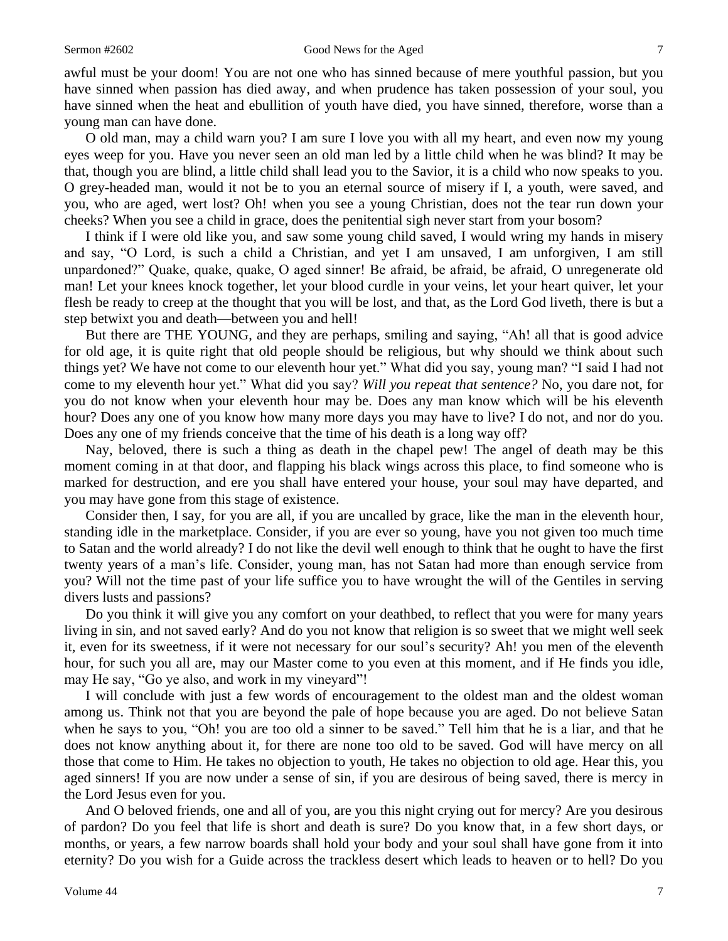awful must be your doom! You are not one who has sinned because of mere youthful passion, but you have sinned when passion has died away, and when prudence has taken possession of your soul, you have sinned when the heat and ebullition of youth have died, you have sinned, therefore, worse than a young man can have done.

O old man, may a child warn you? I am sure I love you with all my heart, and even now my young eyes weep for you. Have you never seen an old man led by a little child when he was blind? It may be that, though you are blind, a little child shall lead you to the Savior, it is a child who now speaks to you. O grey-headed man, would it not be to you an eternal source of misery if I, a youth, were saved, and you, who are aged, wert lost? Oh! when you see a young Christian, does not the tear run down your cheeks? When you see a child in grace, does the penitential sigh never start from your bosom?

I think if I were old like you, and saw some young child saved, I would wring my hands in misery and say, "O Lord, is such a child a Christian, and yet I am unsaved, I am unforgiven, I am still unpardoned?" Quake, quake, quake, O aged sinner! Be afraid, be afraid, be afraid, O unregenerate old man! Let your knees knock together, let your blood curdle in your veins, let your heart quiver, let your flesh be ready to creep at the thought that you will be lost, and that, as the Lord God liveth, there is but a step betwixt you and death—between you and hell!

But there are THE YOUNG, and they are perhaps, smiling and saying, "Ah! all that is good advice for old age, it is quite right that old people should be religious, but why should we think about such things yet? We have not come to our eleventh hour yet." What did you say, young man? "I said I had not come to my eleventh hour yet." What did you say? *Will you repeat that sentence?* No, you dare not, for you do not know when your eleventh hour may be. Does any man know which will be his eleventh hour? Does any one of you know how many more days you may have to live? I do not, and nor do you. Does any one of my friends conceive that the time of his death is a long way off?

Nay, beloved, there is such a thing as death in the chapel pew! The angel of death may be this moment coming in at that door, and flapping his black wings across this place, to find someone who is marked for destruction, and ere you shall have entered your house, your soul may have departed, and you may have gone from this stage of existence.

Consider then, I say, for you are all, if you are uncalled by grace, like the man in the eleventh hour, standing idle in the marketplace. Consider, if you are ever so young, have you not given too much time to Satan and the world already? I do not like the devil well enough to think that he ought to have the first twenty years of a man's life. Consider, young man, has not Satan had more than enough service from you? Will not the time past of your life suffice you to have wrought the will of the Gentiles in serving divers lusts and passions?

Do you think it will give you any comfort on your deathbed, to reflect that you were for many years living in sin, and not saved early? And do you not know that religion is so sweet that we might well seek it, even for its sweetness, if it were not necessary for our soul's security? Ah! you men of the eleventh hour, for such you all are, may our Master come to you even at this moment, and if He finds you idle, may He say, "Go ye also, and work in my vineyard"!

I will conclude with just a few words of encouragement to the oldest man and the oldest woman among us. Think not that you are beyond the pale of hope because you are aged. Do not believe Satan when he says to you, "Oh! you are too old a sinner to be saved." Tell him that he is a liar, and that he does not know anything about it, for there are none too old to be saved. God will have mercy on all those that come to Him. He takes no objection to youth, He takes no objection to old age. Hear this, you aged sinners! If you are now under a sense of sin, if you are desirous of being saved, there is mercy in the Lord Jesus even for you.

And O beloved friends, one and all of you, are you this night crying out for mercy? Are you desirous of pardon? Do you feel that life is short and death is sure? Do you know that, in a few short days, or months, or years, a few narrow boards shall hold your body and your soul shall have gone from it into eternity? Do you wish for a Guide across the trackless desert which leads to heaven or to hell? Do you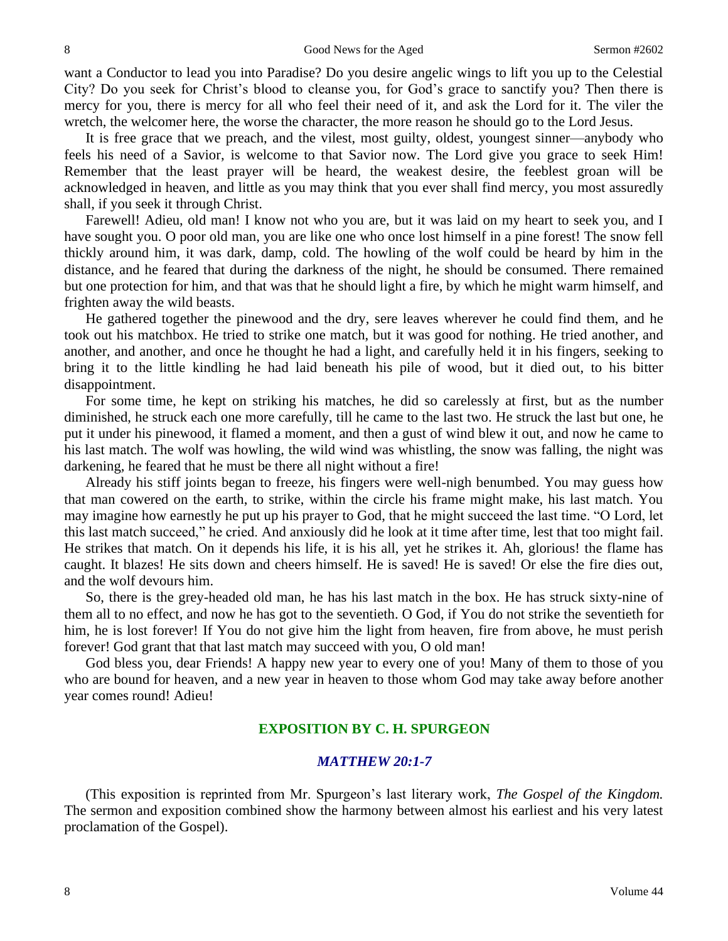want a Conductor to lead you into Paradise? Do you desire angelic wings to lift you up to the Celestial City? Do you seek for Christ's blood to cleanse you, for God's grace to sanctify you? Then there is mercy for you, there is mercy for all who feel their need of it, and ask the Lord for it. The viler the wretch, the welcomer here, the worse the character, the more reason he should go to the Lord Jesus.

It is free grace that we preach, and the vilest, most guilty, oldest, youngest sinner—anybody who feels his need of a Savior, is welcome to that Savior now. The Lord give you grace to seek Him! Remember that the least prayer will be heard, the weakest desire, the feeblest groan will be acknowledged in heaven, and little as you may think that you ever shall find mercy, you most assuredly shall, if you seek it through Christ.

Farewell! Adieu, old man! I know not who you are, but it was laid on my heart to seek you, and I have sought you. O poor old man, you are like one who once lost himself in a pine forest! The snow fell thickly around him, it was dark, damp, cold. The howling of the wolf could be heard by him in the distance, and he feared that during the darkness of the night, he should be consumed. There remained but one protection for him, and that was that he should light a fire, by which he might warm himself, and frighten away the wild beasts.

He gathered together the pinewood and the dry, sere leaves wherever he could find them, and he took out his matchbox. He tried to strike one match, but it was good for nothing. He tried another, and another, and another, and once he thought he had a light, and carefully held it in his fingers, seeking to bring it to the little kindling he had laid beneath his pile of wood, but it died out, to his bitter disappointment.

For some time, he kept on striking his matches, he did so carelessly at first, but as the number diminished, he struck each one more carefully, till he came to the last two. He struck the last but one, he put it under his pinewood, it flamed a moment, and then a gust of wind blew it out, and now he came to his last match. The wolf was howling, the wild wind was whistling, the snow was falling, the night was darkening, he feared that he must be there all night without a fire!

Already his stiff joints began to freeze, his fingers were well-nigh benumbed. You may guess how that man cowered on the earth, to strike, within the circle his frame might make, his last match. You may imagine how earnestly he put up his prayer to God, that he might succeed the last time. "O Lord, let this last match succeed," he cried. And anxiously did he look at it time after time, lest that too might fail. He strikes that match. On it depends his life, it is his all, yet he strikes it. Ah, glorious! the flame has caught. It blazes! He sits down and cheers himself. He is saved! He is saved! Or else the fire dies out, and the wolf devours him.

So, there is the grey-headed old man, he has his last match in the box. He has struck sixty-nine of them all to no effect, and now he has got to the seventieth. O God, if You do not strike the seventieth for him, he is lost forever! If You do not give him the light from heaven, fire from above, he must perish forever! God grant that that last match may succeed with you, O old man!

God bless you, dear Friends! A happy new year to every one of you! Many of them to those of you who are bound for heaven, and a new year in heaven to those whom God may take away before another year comes round! Adieu!

### **EXPOSITION BY C. H. SPURGEON**

### *MATTHEW 20:1-7*

(This exposition is reprinted from Mr. Spurgeon's last literary work, *The Gospel of the Kingdom.*  The sermon and exposition combined show the harmony between almost his earliest and his very latest proclamation of the Gospel).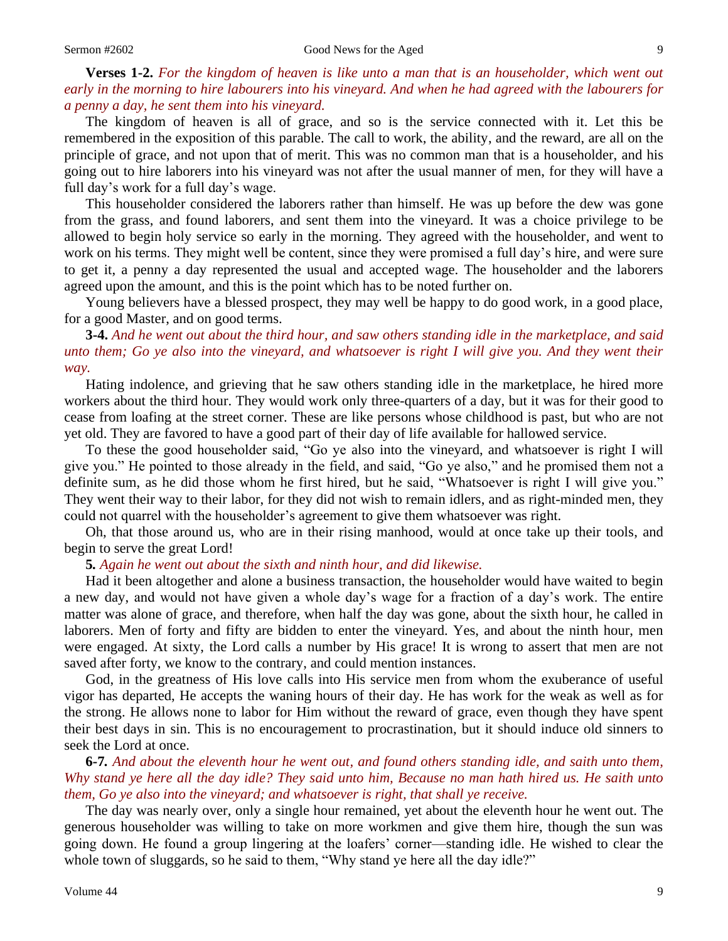**Verses 1-2.** *For the kingdom of heaven is like unto a man that is an householder, which went out early in the morning to hire labourers into his vineyard. And when he had agreed with the labourers for a penny a day, he sent them into his vineyard.*

The kingdom of heaven is all of grace, and so is the service connected with it. Let this be remembered in the exposition of this parable. The call to work, the ability, and the reward, are all on the principle of grace, and not upon that of merit. This was no common man that is a householder, and his going out to hire laborers into his vineyard was not after the usual manner of men, for they will have a full day's work for a full day's wage.

This householder considered the laborers rather than himself. He was up before the dew was gone from the grass, and found laborers, and sent them into the vineyard. It was a choice privilege to be allowed to begin holy service so early in the morning. They agreed with the householder, and went to work on his terms. They might well be content, since they were promised a full day's hire, and were sure to get it, a penny a day represented the usual and accepted wage. The householder and the laborers agreed upon the amount, and this is the point which has to be noted further on.

Young believers have a blessed prospect, they may well be happy to do good work, in a good place, for a good Master, and on good terms.

## **3-4.** *And he went out about the third hour, and saw others standing idle in the marketplace, and said unto them; Go ye also into the vineyard, and whatsoever is right I will give you. And they went their way.*

Hating indolence, and grieving that he saw others standing idle in the marketplace, he hired more workers about the third hour. They would work only three-quarters of a day, but it was for their good to cease from loafing at the street corner. These are like persons whose childhood is past, but who are not yet old. They are favored to have a good part of their day of life available for hallowed service.

To these the good householder said, "Go ye also into the vineyard, and whatsoever is right I will give you." He pointed to those already in the field, and said, "Go ye also," and he promised them not a definite sum, as he did those whom he first hired, but he said, "Whatsoever is right I will give you." They went their way to their labor, for they did not wish to remain idlers, and as right-minded men, they could not quarrel with the householder's agreement to give them whatsoever was right.

Oh, that those around us, who are in their rising manhood, would at once take up their tools, and begin to serve the great Lord!

#### **5***. Again he went out about the sixth and ninth hour, and did likewise.*

Had it been altogether and alone a business transaction, the householder would have waited to begin a new day, and would not have given a whole day's wage for a fraction of a day's work. The entire matter was alone of grace, and therefore, when half the day was gone, about the sixth hour, he called in laborers. Men of forty and fifty are bidden to enter the vineyard. Yes, and about the ninth hour, men were engaged. At sixty, the Lord calls a number by His grace! It is wrong to assert that men are not saved after forty, we know to the contrary, and could mention instances.

God, in the greatness of His love calls into His service men from whom the exuberance of useful vigor has departed, He accepts the waning hours of their day. He has work for the weak as well as for the strong. He allows none to labor for Him without the reward of grace, even though they have spent their best days in sin. This is no encouragement to procrastination, but it should induce old sinners to seek the Lord at once.

**6***-***7***. And about the eleventh hour he went out, and found others standing idle, and saith unto them, Why stand ye here all the day idle? They said unto him, Because no man hath hired us. He saith unto them, Go ye also into the vineyard; and whatsoever is right, that shall ye receive.*

The day was nearly over, only a single hour remained, yet about the eleventh hour he went out. The generous householder was willing to take on more workmen and give them hire, though the sun was going down. He found a group lingering at the loafers' corner—standing idle. He wished to clear the whole town of sluggards, so he said to them, "Why stand ye here all the day idle?"